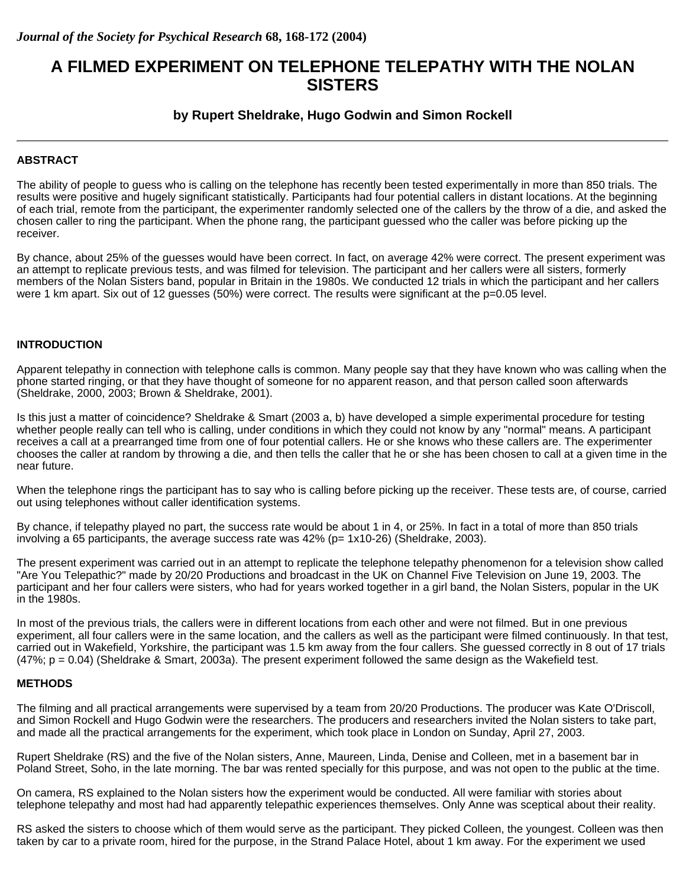# **A FILMED EXPERIMENT ON TELEPHONE TELEPATHY WITH THE NOLAN SISTERS**

## **by Rupert Sheldrake, Hugo Godwin and Simon Rockell**

## **ABSTRACT**

The ability of people to guess who is calling on the telephone has recently been tested experimentally in more than 850 trials. The results were positive and hugely significant statistically. Participants had four potential callers in distant locations. At the beginning of each trial, remote from the participant, the experimenter randomly selected one of the callers by the throw of a die, and asked the chosen caller to ring the participant. When the phone rang, the participant guessed who the caller was before picking up the receiver.

By chance, about 25% of the guesses would have been correct. In fact, on average 42% were correct. The present experiment was an attempt to replicate previous tests, and was filmed for television. The participant and her callers were all sisters, formerly members of the Nolan Sisters band, popular in Britain in the 1980s. We conducted 12 trials in which the participant and her callers were 1 km apart. Six out of 12 guesses (50%) were correct. The results were significant at the p=0.05 level.

#### **INTRODUCTION**

Apparent telepathy in connection with telephone calls is common. Many people say that they have known who was calling when the phone started ringing, or that they have thought of someone for no apparent reason, and that person called soon afterwards (Sheldrake, 2000, 2003; Brown & Sheldrake, 2001).

Is this just a matter of coincidence? Sheldrake & Smart (2003 a, b) have developed a simple experimental procedure for testing whether people really can tell who is calling, under conditions in which they could not know by any "normal" means. A participant receives a call at a prearranged time from one of four potential callers. He or she knows who these callers are. The experimenter chooses the caller at random by throwing a die, and then tells the caller that he or she has been chosen to call at a given time in the near future.

When the telephone rings the participant has to say who is calling before picking up the receiver. These tests are, of course, carried out using telephones without caller identification systems.

By chance, if telepathy played no part, the success rate would be about 1 in 4, or 25%. In fact in a total of more than 850 trials involving a 65 participants, the average success rate was  $42\%$  (p=  $1x10-26$ ) (Sheldrake, 2003).

The present experiment was carried out in an attempt to replicate the telephone telepathy phenomenon for a television show called "Are You Telepathic?" made by 20/20 Productions and broadcast in the UK on Channel Five Television on June 19, 2003. The participant and her four callers were sisters, who had for years worked together in a girl band, the Nolan Sisters, popular in the UK in the 1980s.

In most of the previous trials, the callers were in different locations from each other and were not filmed. But in one previous experiment, all four callers were in the same location, and the callers as well as the participant were filmed continuously. In that test, carried out in Wakefield, Yorkshire, the participant was 1.5 km away from the four callers. She guessed correctly in 8 out of 17 trials (47%; p = 0.04) (Sheldrake & Smart, 2003a). The present experiment followed the same design as the Wakefield test.

#### **METHODS**

The filming and all practical arrangements were supervised by a team from 20/20 Productions. The producer was Kate O'Driscoll, and Simon Rockell and Hugo Godwin were the researchers. The producers and researchers invited the Nolan sisters to take part, and made all the practical arrangements for the experiment, which took place in London on Sunday, April 27, 2003.

Rupert Sheldrake (RS) and the five of the Nolan sisters, Anne, Maureen, Linda, Denise and Colleen, met in a basement bar in Poland Street, Soho, in the late morning. The bar was rented specially for this purpose, and was not open to the public at the time.

On camera, RS explained to the Nolan sisters how the experiment would be conducted. All were familiar with stories about telephone telepathy and most had had apparently telepathic experiences themselves. Only Anne was sceptical about their reality.

RS asked the sisters to choose which of them would serve as the participant. They picked Colleen, the youngest. Colleen was then taken by car to a private room, hired for the purpose, in the Strand Palace Hotel, about 1 km away. For the experiment we used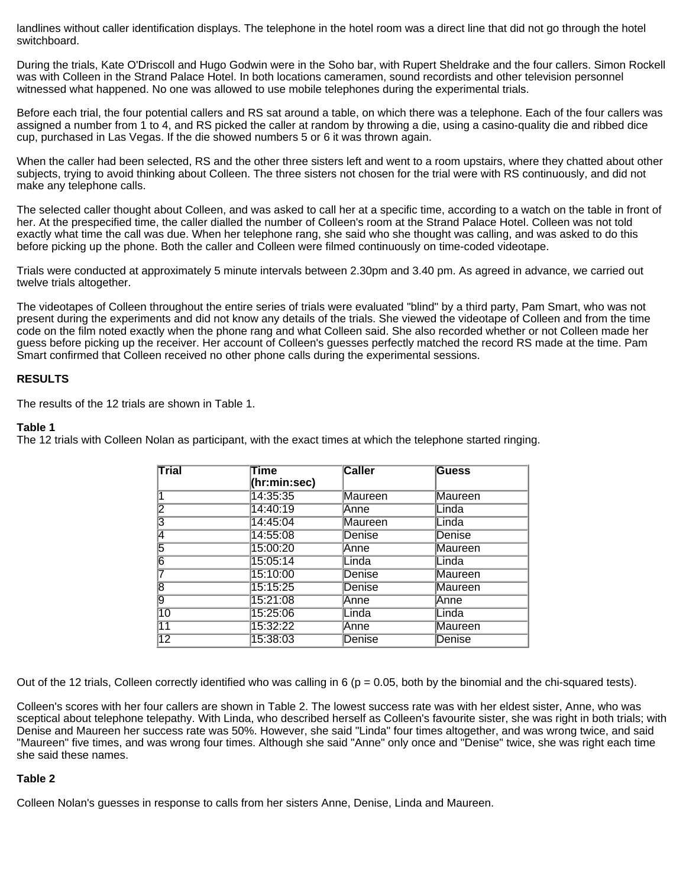landlines without caller identification displays. The telephone in the hotel room was a direct line that did not go through the hotel switchboard.

During the trials, Kate O'Driscoll and Hugo Godwin were in the Soho bar, with Rupert Sheldrake and the four callers. Simon Rockell was with Colleen in the Strand Palace Hotel. In both locations cameramen, sound recordists and other television personnel witnessed what happened. No one was allowed to use mobile telephones during the experimental trials.

Before each trial, the four potential callers and RS sat around a table, on which there was a telephone. Each of the four callers was assigned a number from 1 to 4, and RS picked the caller at random by throwing a die, using a casino-quality die and ribbed dice cup, purchased in Las Vegas. If the die showed numbers 5 or 6 it was thrown again.

When the caller had been selected, RS and the other three sisters left and went to a room upstairs, where they chatted about other subjects, trying to avoid thinking about Colleen. The three sisters not chosen for the trial were with RS continuously, and did not make any telephone calls.

The selected caller thought about Colleen, and was asked to call her at a specific time, according to a watch on the table in front of her. At the prespecified time, the caller dialled the number of Colleen's room at the Strand Palace Hotel. Colleen was not told exactly what time the call was due. When her telephone rang, she said who she thought was calling, and was asked to do this before picking up the phone. Both the caller and Colleen were filmed continuously on time-coded videotape.

Trials were conducted at approximately 5 minute intervals between 2.30pm and 3.40 pm. As agreed in advance, we carried out twelve trials altogether.

The videotapes of Colleen throughout the entire series of trials were evaluated "blind" by a third party, Pam Smart, who was not present during the experiments and did not know any details of the trials. She viewed the videotape of Colleen and from the time code on the film noted exactly when the phone rang and what Colleen said. She also recorded whether or not Colleen made her guess before picking up the receiver. Her account of Colleen's guesses perfectly matched the record RS made at the time. Pam Smart confirmed that Colleen received no other phone calls during the experimental sessions.

#### **RESULTS**

The results of the 12 trials are shown in Table 1.

#### **Table 1**

The 12 trials with Colleen Nolan as participant, with the exact times at which the telephone started ringing.

| Trial           | Time<br>(hr:min:sec) | <b>Caller</b> | Guess          |  |
|-----------------|----------------------|---------------|----------------|--|
|                 | 14:35:35             | Maureen       | Maureen        |  |
| 2               | 14:40:19             | Anne          | Linda          |  |
| 13              | 14:45:04             | Maureen       | Linda          |  |
| 14              | 14:55:08             | Denise        | Denise         |  |
| 5               | 15:00:20             | Anne          | <b>Maureen</b> |  |
| 6               | 15:05:14             | Linda         | Linda          |  |
|                 | 15:10:00             | Denise        | <b>Maureen</b> |  |
| 8               | 15:15:25             | Denise        | <b>Maureen</b> |  |
| 9               | 15:21:08             | Anne          | Anne           |  |
| $\overline{10}$ | 15:25:06             | Linda         | Linda          |  |
| $\overline{11}$ | 15:32:22             | Anne          | Maureen        |  |
| 12              | 15:38:03             | Denise        | Denise         |  |

Out of the 12 trials, Colleen correctly identified who was calling in 6 ( $p = 0.05$ , both by the binomial and the chi-squared tests).

Colleen's scores with her four callers are shown in Table 2. The lowest success rate was with her eldest sister, Anne, who was sceptical about telephone telepathy. With Linda, who described herself as Colleen's favourite sister, she was right in both trials; with Denise and Maureen her success rate was 50%. However, she said "Linda" four times altogether, and was wrong twice, and said "Maureen" five times, and was wrong four times. Although she said "Anne" only once and "Denise" twice, she was right each time she said these names.

## **Table 2**

Colleen Nolan's guesses in response to calls from her sisters Anne, Denise, Linda and Maureen.